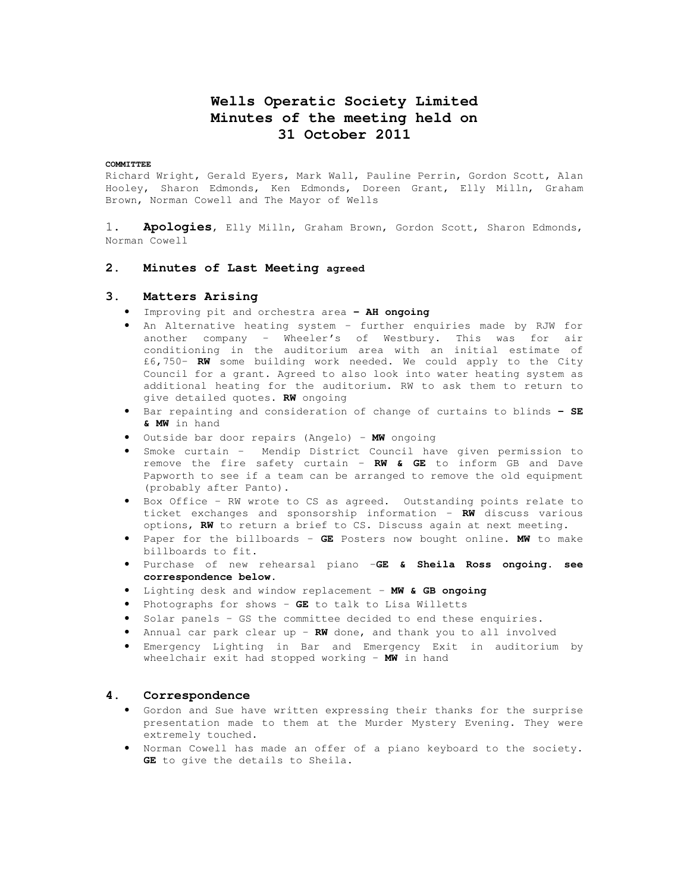# **Wells Operatic Society Limited Minutes of the meeting held on 31 October 2011**

### **COMMITTEE**

Richard Wright, Gerald Eyers, Mark Wall, Pauline Perrin, Gordon Scott, Alan Hooley, Sharon Edmonds, Ken Edmonds, Doreen Grant, Elly Milln, Graham Brown, Norman Cowell and The Mayor of Wells

1. **Apologies**, Elly Milln, Graham Brown, Gordon Scott, Sharon Edmonds, Norman Cowell

# **2. Minutes of Last Meeting agreed**

# **3. Matters Arising**

- Improving pit and orchestra area **– AH ongoing**
- An Alternative heating system further enquiries made by RJW for another company – Wheeler's of Westbury. This was for air conditioning in the auditorium area with an initial estimate of £6,750– **RW** some building work needed. We could apply to the City Council for a grant. Agreed to also look into water heating system as additional heating for the auditorium. RW to ask them to return to give detailed quotes. **RW** ongoing
- Bar repainting and consideration of change of curtains to blinds **– SE & MW** in hand
- Outside bar door repairs (Angelo) **MW** ongoing
- Smoke curtain Mendip District Council have given permission to remove the fire safety curtain – **RW & GE** to inform GB and Dave Papworth to see if a team can be arranged to remove the old equipment (probably after Panto).
- Box Office RW wrote to CS as agreed. Outstanding points relate to ticket exchanges and sponsorship information – **RW** discuss various options, **RW** to return a brief to CS. Discuss again at next meeting.
- Paper for the billboards **GE** Posters now bought online. **MW** to make billboards to fit.
- Purchase of new rehearsal piano –**GE & Sheila Ross ongoing. see correspondence below.**
- Lighting desk and window replacement **MW & GB ongoing**
- Photographs for shows **GE** to talk to Lisa Willetts
- Solar panels GS the committee decided to end these enquiries.
- Annual car park clear up **RW** done, and thank you to all involved
- Emergency Lighting in Bar and Emergency Exit in auditorium by wheelchair exit had stopped working – **MW** in hand

### **4. Correspondence**

- Gordon and Sue have written expressing their thanks for the surprise presentation made to them at the Murder Mystery Evening. They were extremely touched.
- Norman Cowell has made an offer of a piano keyboard to the society. **GE** to give the details to Sheila.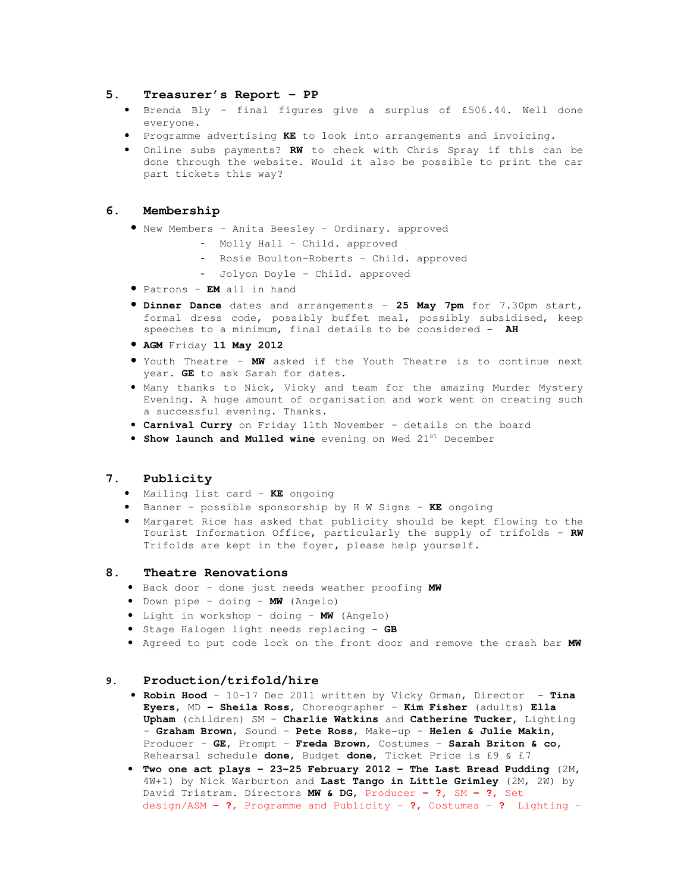### **5. Treasurer's Report – PP**

- Brenda Bly final figures give a surplus of £506.44. Well done everyone.
- Programme advertising **KE** to look into arrangements and invoicing.
- Online subs payments? **RW** to check with Chris Spray if this can be done through the website. Would it also be possible to print the car part tickets this way?

# **6. Membership**

- New Members Anita Beesley Ordinary. approved
	- Molly Hall Child. approved
	- Rosie Boulton-Roberts Child. approved
	- Jolyon Doyle Child. approved
- Patrons **EM** all in hand
- **Dinner Dance** dates and arrangements **25 May 7pm** for 7.30pm start, formal dress code, possibly buffet meal, possibly subsidised, keep speeches to a minimum, final details to be considered - **AH**
- **AGM** Friday **11 May 2012**
- Youth Theatre **MW** asked if the Youth Theatre is to continue next year. **GE** to ask Sarah for dates.
- Many thanks to Nick, Vicky and team for the amazing Murder Mystery Evening. A huge amount of organisation and work went on creating such a successful evening. Thanks.
- **Carnival Curry** on Friday 11th November details on the board
- **Show launch and Mulled wine** evening on Wed 21st December

# **7. Publicity**

- Mailing list card **KE** ongoing
- Banner possible sponsorship by H W Signs **KE** ongoing
- Margaret Rice has asked that publicity should be kept flowing to the Tourist Information Office, particularly the supply of trifolds – **RW**  Trifolds are kept in the foyer, please help yourself.

# **8. Theatre Renovations**

- Back door done just needs weather proofing **MW**
- Down pipe doing **MW** (Angelo)
- Light in workshop doing **MW** (Angelo)
- Stage Halogen light needs replacing **GB**
- Agreed to put code lock on the front door and remove the crash bar **MW**

# **9. Production/trifold/hire**

- **Robin Hood**  10-17 Dec 2011 written by Vicky Orman, Director **Tina Eyers**, MD **– Sheila Ross**, Choreographer – **Kim Fisher** (adults) **Ella Upham** (children) SM – **Charlie Watkins** and **Catherine Tucker,** Lighting – **Graham Brown**, Sound – **Pete Ross**, Make-up – **Helen & Julie Makin,**  Producer – **GE,** Prompt – **Freda Brown**, Costumes – **Sarah Briton & co,** Rehearsal schedule **done**, Budget **done**, Ticket Price is £9 & £7
- **Two one act plays 23-25 February 2012 The Last Bread Pudding** (2M, 4W+1) by Nick Warburton and **Last Tango in Little Grimley** (2M, 2W) by David Tristram. Directors **MW & DG,** Producer **– ?,** SM **– ?,** Set design/ASM **– ?,** Programme and Publicity – **?,** Costumes – **?** Lighting –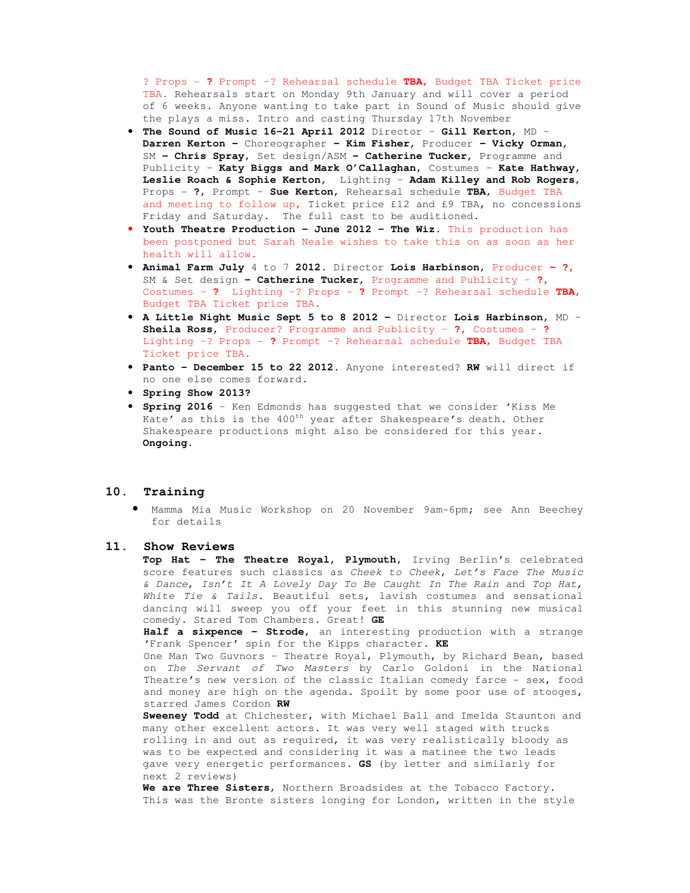? Props - **?** Prompt –? Rehearsal schedule **TBA**, Budget TBA Ticket price TBA. Rehearsals start on Monday 9th January and will cover a period of 6 weeks. Anyone wanting to take part in Sound of Music should give the plays a miss. Intro and casting Thursday 17th November

- **The Sound of Music 16-21 April 2012** Director **Gill Kerton**, MD **Darren Kerton –** Choreographer **– Kim Fisher,** Producer **– Vicky Orman,**  SM **– Chris Spray,** Set design/ASM **– Catherine Tucker,** Programme and Publicity – **Katy Biggs and Mark O'Callaghan,** Costumes – **Kate Hathway, Leslie Roach & Sophie Kerton,** Lighting – **Adam Killey and Rob Rogers**, Props - **?**, Prompt – **Sue Kerton**, Rehearsal schedule **TBA**, Budget TBA and meeting to follow up, Ticket price £12 and £9 TBA, no concessions Friday and Saturday. The full cast to be auditioned.
- **Youth Theatre Production June 2012 The Wiz.** This production has been postponed but Sarah Neale wishes to take this on as soon as her health will allow.
- **Animal Farm July** 4 to 7 **2012**. Director **Lois Harbinson**, Producer **?,**  SM & Set design **– Catherine Tucker,** Programme and Publicity – **?,**  Costumes – **?** Lighting –? Props - **?** Prompt –? Rehearsal schedule **TBA**, Budget TBA Ticket price TBA.
- **A Little Night Music Sept 5 to 8 2012** Director **Lois Harbinson**, MD **Sheila Ross,** Producer? Programme and Publicity – **?,** Costumes – **?**  Lighting –? Props - **?** Prompt –? Rehearsal schedule **TBA**, Budget TBA Ticket price TBA.
- **Panto December 15 to 22 2012.** Anyone interested? **RW** will direct if no one else comes forward.
- **Spring Show 2013?**
- **Spring 2016** Ken Edmonds has suggested that we consider 'Kiss Me Kate' as this is the  $400<sup>th</sup>$  year after Shakespeare's death. Other Shakespeare productions might also be considered for this year. **Ongoing.**

### **10. Training**

• Mamma Mia Music Workshop on 20 November 9am-6pm; see Ann Beechey for details

### **11. Show Reviews**

**Top Hat - The Theatre Royal, Plymouth,** Irving Berlin's celebrated score features such classics as Cheek to Cheek, Let's Face The Music & Dance, Isn't It A Lovely Day To Be Caught In The Rain and Top Hat, White Tie & Tails. Beautiful sets, lavish costumes and sensational dancing will sweep you off your feet in this stunning new musical comedy. Stared Tom Chambers. Great! **GE** 

**Half a sixpence – Strode,** an interesting production with a strange 'Frank Spencer' spin for the Kipps character. **KE**

One Man Two Guvnors – Theatre Royal, Plymouth, by Richard Bean, based on The Servant of Two Masters by Carlo Goldoni in the National Theatre's new version of the classic Italian comedy farce - sex, food and money are high on the agenda. Spoilt by some poor use of stooges, starred James Cordon **RW** 

**Sweeney Todd** at Chichester, with Michael Ball and Imelda Staunton and many other excellent actors. It was very well staged with trucks rolling in and out as required, it was very realistically bloody as was to be expected and considering it was a matinee the two leads gave very energetic performances. **GS** (by letter and similarly for next 2 reviews)

**We are Three Sisters**, Northern Broadsides at the Tobacco Factory. This was the Bronte sisters longing for London, written in the style